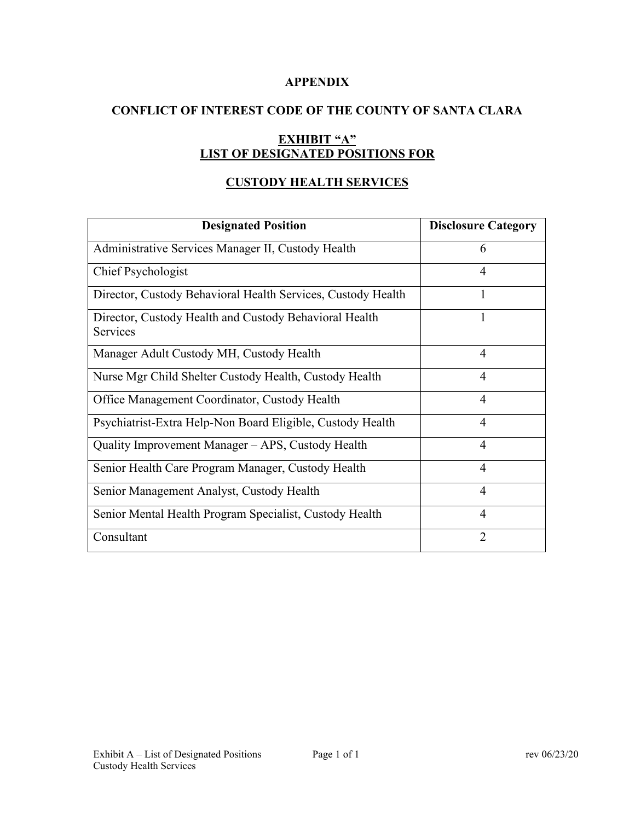### **APPENDIX**

# **CONFLICT OF INTEREST CODE OF THE COUNTY OF SANTA CLARA**

# **EXHIBIT "A" LIST OF DESIGNATED POSITIONS FOR**

# **CUSTODY HEALTH SERVICES**

| <b>Designated Position</b>                                         | <b>Disclosure Category</b> |
|--------------------------------------------------------------------|----------------------------|
| Administrative Services Manager II, Custody Health                 | 6                          |
| Chief Psychologist                                                 | $\overline{4}$             |
| Director, Custody Behavioral Health Services, Custody Health       | 1                          |
| Director, Custody Health and Custody Behavioral Health<br>Services | 1                          |
| Manager Adult Custody MH, Custody Health                           | $\overline{4}$             |
| Nurse Mgr Child Shelter Custody Health, Custody Health             | $\overline{4}$             |
| Office Management Coordinator, Custody Health                      | $\overline{4}$             |
| Psychiatrist-Extra Help-Non Board Eligible, Custody Health         | 4                          |
| Quality Improvement Manager - APS, Custody Health                  | 4                          |
| Senior Health Care Program Manager, Custody Health                 | 4                          |
| Senior Management Analyst, Custody Health                          | 4                          |
| Senior Mental Health Program Specialist, Custody Health            | $\overline{4}$             |
| Consultant                                                         | $\overline{2}$             |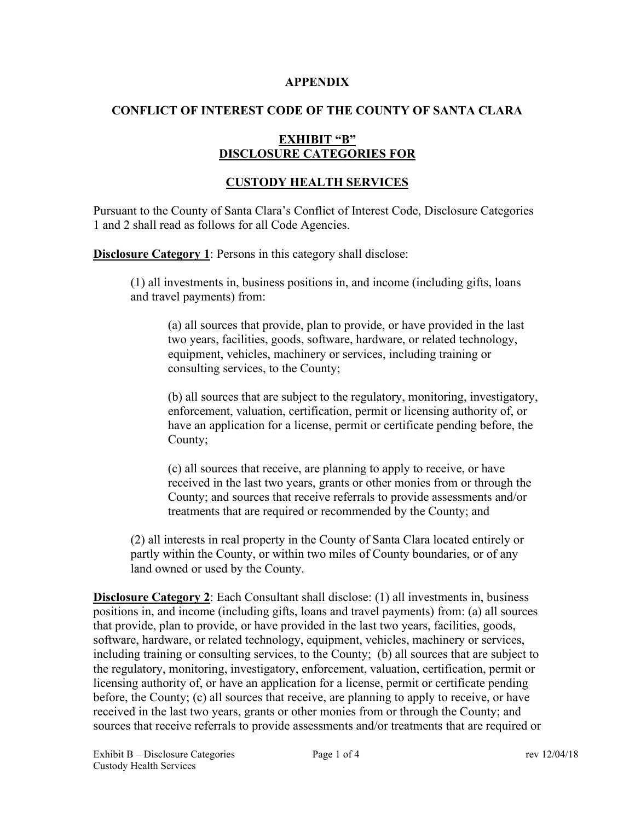#### **APPENDIX**

# **CONFLICT OF INTEREST CODE OF THE COUNTY OF SANTA CLARA**

# **EXHIBIT "B" DISCLOSURE CATEGORIES FOR**

# **CUSTODY HEALTH SERVICES**

Pursuant to the County of Santa Clara's Conflict of Interest Code, Disclosure Categories 1 and 2 shall read as follows for all Code Agencies.

**Disclosure Category 1**: Persons in this category shall disclose:

(1) all investments in, business positions in, and income (including gifts, loans and travel payments) from:

(a) all sources that provide, plan to provide, or have provided in the last two years, facilities, goods, software, hardware, or related technology, equipment, vehicles, machinery or services, including training or consulting services, to the County;

(b) all sources that are subject to the regulatory, monitoring, investigatory, enforcement, valuation, certification, permit or licensing authority of, or have an application for a license, permit or certificate pending before, the County;

(c) all sources that receive, are planning to apply to receive, or have received in the last two years, grants or other monies from or through the County; and sources that receive referrals to provide assessments and/or treatments that are required or recommended by the County; and

(2) all interests in real property in the County of Santa Clara located entirely or partly within the County, or within two miles of County boundaries, or of any land owned or used by the County.

**Disclosure Category 2**: Each Consultant shall disclose: (1) all investments in, business positions in, and income (including gifts, loans and travel payments) from: (a) all sources that provide, plan to provide, or have provided in the last two years, facilities, goods, software, hardware, or related technology, equipment, vehicles, machinery or services, including training or consulting services, to the County; (b) all sources that are subject to the regulatory, monitoring, investigatory, enforcement, valuation, certification, permit or licensing authority of, or have an application for a license, permit or certificate pending before, the County; (c) all sources that receive, are planning to apply to receive, or have received in the last two years, grants or other monies from or through the County; and sources that receive referrals to provide assessments and/or treatments that are required or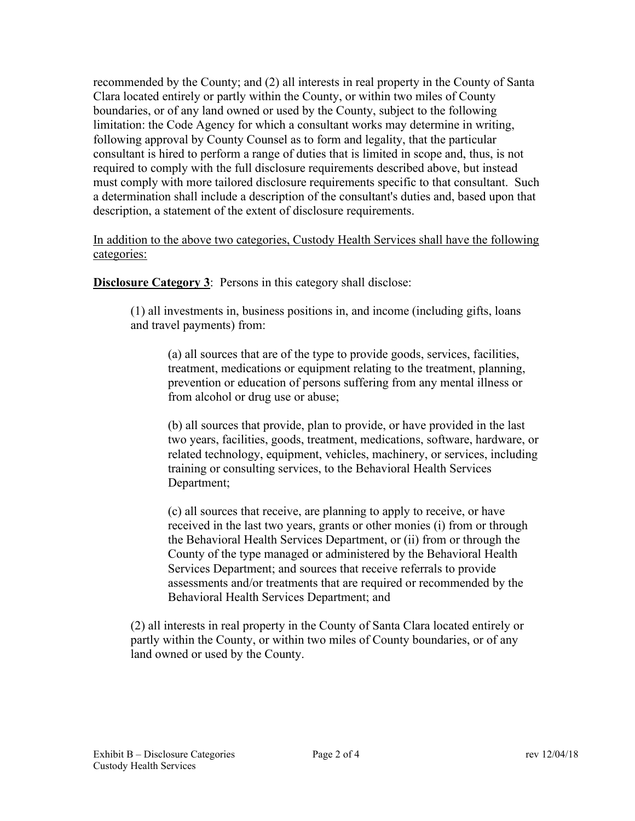recommended by the County; and (2) all interests in real property in the County of Santa Clara located entirely or partly within the County, or within two miles of County boundaries, or of any land owned or used by the County, subject to the following limitation: the Code Agency for which a consultant works may determine in writing, following approval by County Counsel as to form and legality, that the particular consultant is hired to perform a range of duties that is limited in scope and, thus, is not required to comply with the full disclosure requirements described above, but instead must comply with more tailored disclosure requirements specific to that consultant. Such a determination shall include a description of the consultant's duties and, based upon that description, a statement of the extent of disclosure requirements.

In addition to the above two categories, Custody Health Services shall have the following categories:

**Disclosure Category 3:** Persons in this category shall disclose:

(1) all investments in, business positions in, and income (including gifts, loans and travel payments) from:

(a) all sources that are of the type to provide goods, services, facilities, treatment, medications or equipment relating to the treatment, planning, prevention or education of persons suffering from any mental illness or from alcohol or drug use or abuse;

(b) all sources that provide, plan to provide, or have provided in the last two years, facilities, goods, treatment, medications, software, hardware, or related technology, equipment, vehicles, machinery, or services, including training or consulting services, to the Behavioral Health Services Department;

(c) all sources that receive, are planning to apply to receive, or have received in the last two years, grants or other monies (i) from or through the Behavioral Health Services Department, or (ii) from or through the County of the type managed or administered by the Behavioral Health Services Department; and sources that receive referrals to provide assessments and/or treatments that are required or recommended by the Behavioral Health Services Department; and

(2) all interests in real property in the County of Santa Clara located entirely or partly within the County, or within two miles of County boundaries, or of any land owned or used by the County.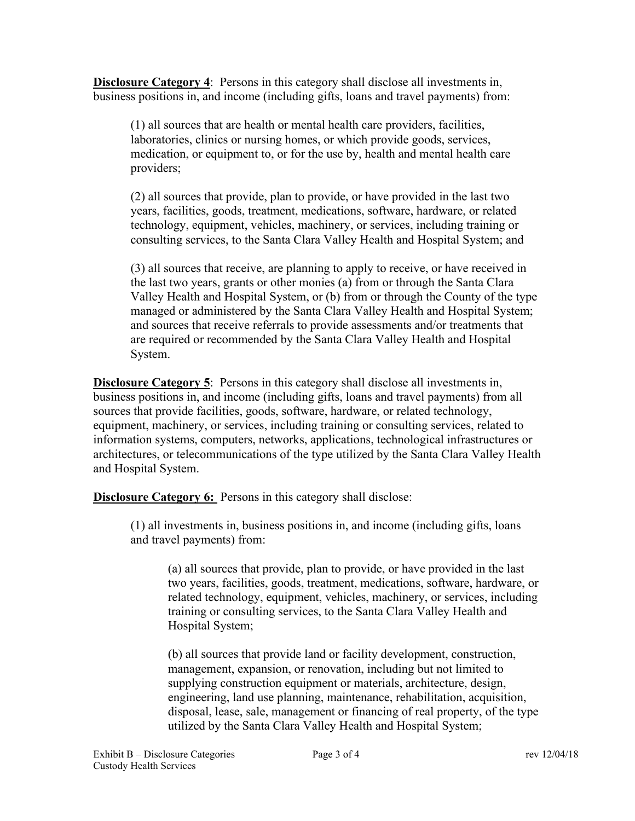**Disclosure Category 4**: Persons in this category shall disclose all investments in, business positions in, and income (including gifts, loans and travel payments) from:

(1) all sources that are health or mental health care providers, facilities, laboratories, clinics or nursing homes, or which provide goods, services, medication, or equipment to, or for the use by, health and mental health care providers;

(2) all sources that provide, plan to provide, or have provided in the last two years, facilities, goods, treatment, medications, software, hardware, or related technology, equipment, vehicles, machinery, or services, including training or consulting services, to the Santa Clara Valley Health and Hospital System; and

(3) all sources that receive, are planning to apply to receive, or have received in the last two years, grants or other monies (a) from or through the Santa Clara Valley Health and Hospital System, or (b) from or through the County of the type managed or administered by the Santa Clara Valley Health and Hospital System; and sources that receive referrals to provide assessments and/or treatments that are required or recommended by the Santa Clara Valley Health and Hospital System.

**Disclosure Category 5**: Persons in this category shall disclose all investments in, business positions in, and income (including gifts, loans and travel payments) from all sources that provide facilities, goods, software, hardware, or related technology, equipment, machinery, or services, including training or consulting services, related to information systems, computers, networks, applications, technological infrastructures or architectures, or telecommunications of the type utilized by the Santa Clara Valley Health and Hospital System.

**Disclosure Category 6:** Persons in this category shall disclose:

(1) all investments in, business positions in, and income (including gifts, loans and travel payments) from:

(a) all sources that provide, plan to provide, or have provided in the last two years, facilities, goods, treatment, medications, software, hardware, or related technology, equipment, vehicles, machinery, or services, including training or consulting services, to the Santa Clara Valley Health and Hospital System;

(b) all sources that provide land or facility development, construction, management, expansion, or renovation, including but not limited to supplying construction equipment or materials, architecture, design, engineering, land use planning, maintenance, rehabilitation, acquisition, disposal, lease, sale, management or financing of real property, of the type utilized by the Santa Clara Valley Health and Hospital System;